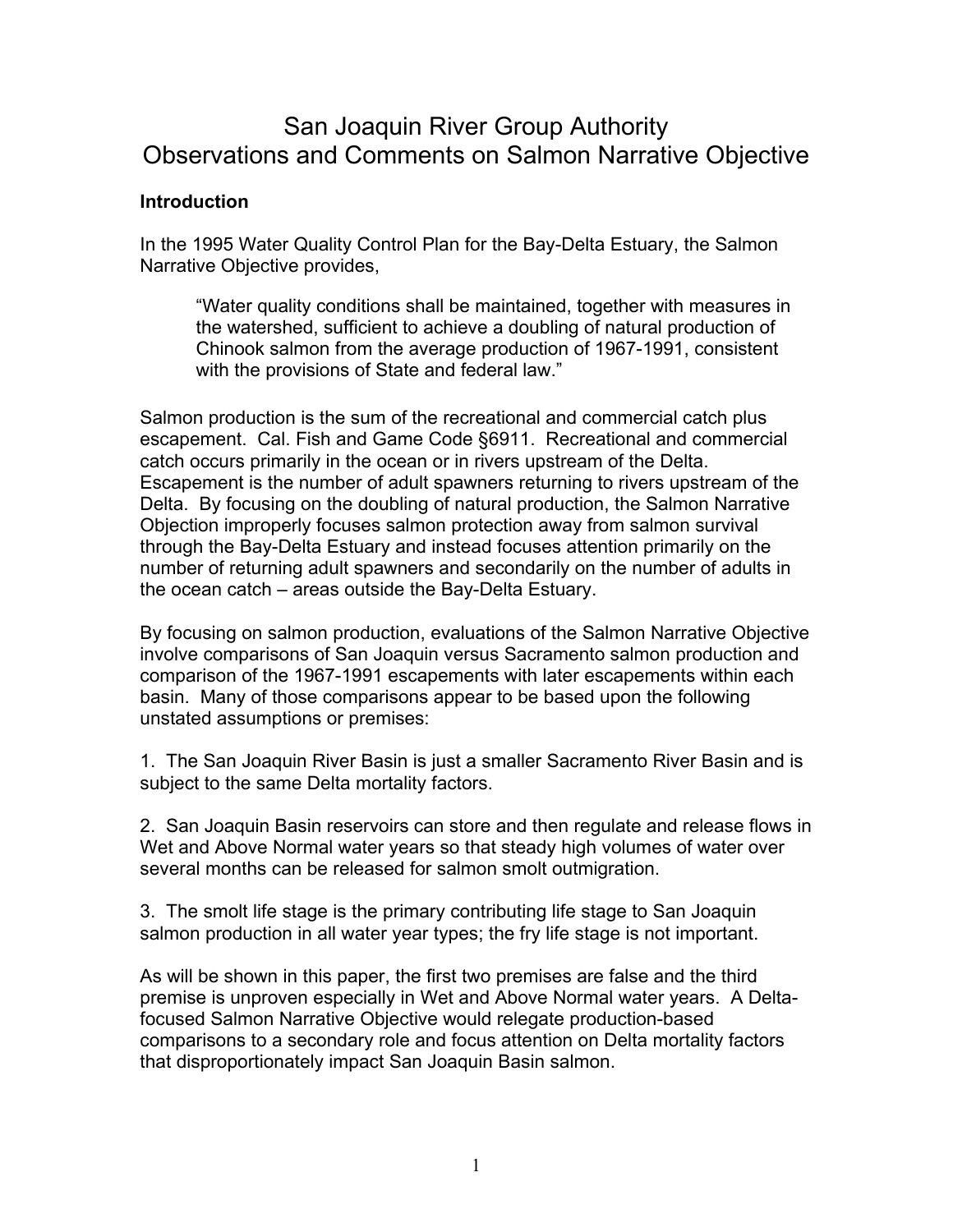# San Joaquin River Group Authority Observations and Comments on Salmon Narrative Objective

#### **Introduction**

In the 1995 Water Quality Control Plan for the Bay-Delta Estuary, the Salmon Narrative Objective provides,

"Water quality conditions shall be maintained, together with measures in the watershed, sufficient to achieve a doubling of natural production of Chinook salmon from the average production of 1967-1991, consistent with the provisions of State and federal law."

Salmon production is the sum of the recreational and commercial catch plus escapement. Cal. Fish and Game Code §6911. Recreational and commercial catch occurs primarily in the ocean or in rivers upstream of the Delta. Escapement is the number of adult spawners returning to rivers upstream of the Delta. By focusing on the doubling of natural production, the Salmon Narrative Objection improperly focuses salmon protection away from salmon survival through the Bay-Delta Estuary and instead focuses attention primarily on the number of returning adult spawners and secondarily on the number of adults in the ocean catch – areas outside the Bay-Delta Estuary.

By focusing on salmon production, evaluations of the Salmon Narrative Objective involve comparisons of San Joaquin versus Sacramento salmon production and comparison of the 1967-1991 escapements with later escapements within each basin. Many of those comparisons appear to be based upon the following unstated assumptions or premises:

1. The San Joaquin River Basin is just a smaller Sacramento River Basin and is subject to the same Delta mortality factors.

2. San Joaquin Basin reservoirs can store and then regulate and release flows in Wet and Above Normal water years so that steady high volumes of water over several months can be released for salmon smolt outmigration.

3. The smolt life stage is the primary contributing life stage to San Joaquin salmon production in all water year types; the fry life stage is not important.

As will be shown in this paper, the first two premises are false and the third premise is unproven especially in Wet and Above Normal water years. A Deltafocused Salmon Narrative Objective would relegate production-based comparisons to a secondary role and focus attention on Delta mortality factors that disproportionately impact San Joaquin Basin salmon.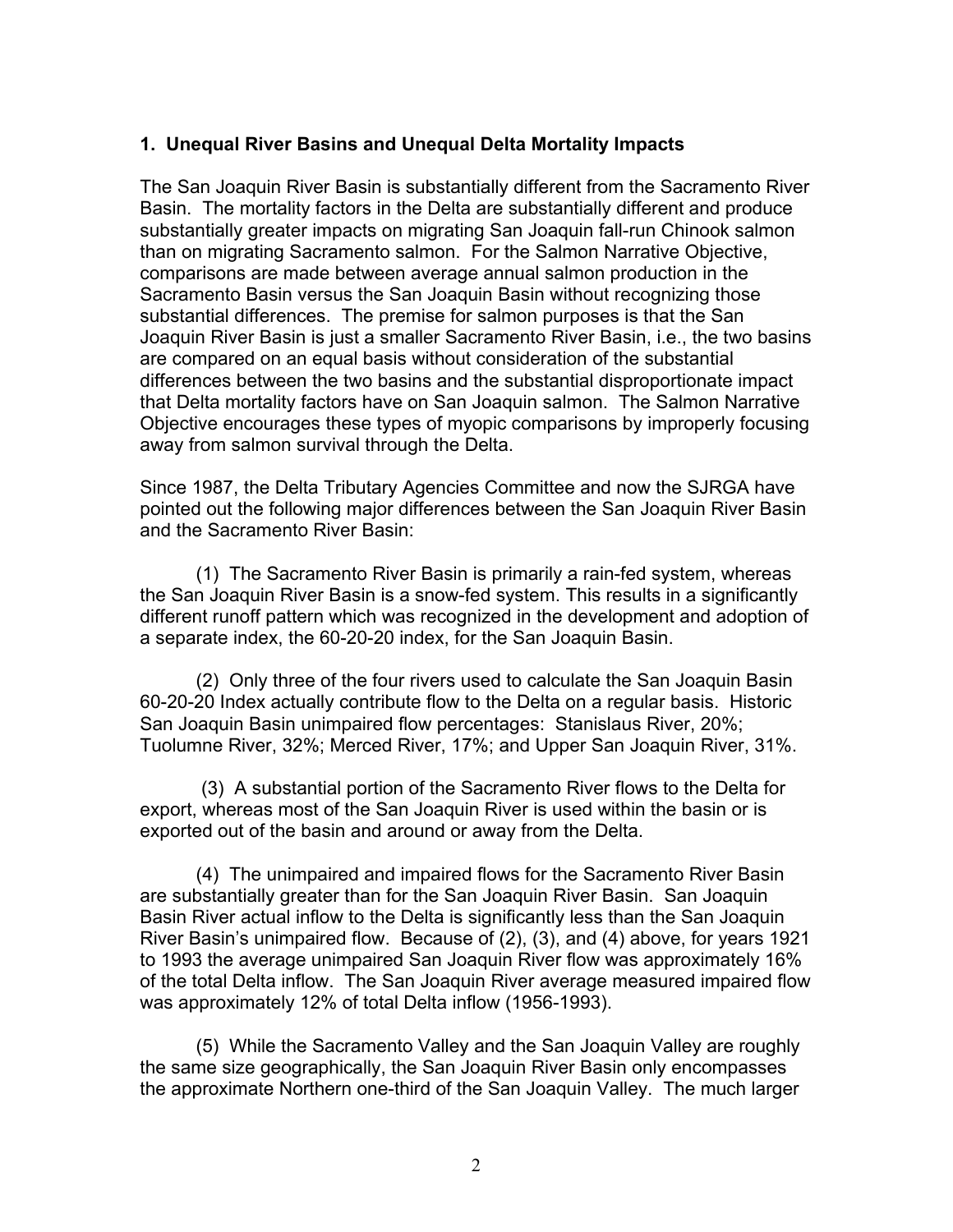### 1. Unequal River Basins and Unequal Delta Mortality Impacts

The San Joaquin River Basin is substantially different from the Sacramento River Basin. The mortality factors in the Delta are substantially different and produce substantially greater impacts on migrating San Joaquin fall-run Chinook salmon than on migrating Sacramento salmon. For the Salmon Narrative Objective, comparisons are made between average annual salmon production in the Sacramento Basin versus the San Joaquin Basin without recognizing those substantial differences. The premise for salmon purposes is that the San Joaquin River Basin is just a smaller Sacramento River Basin, i.e., the two basins are compared on an equal basis without consideration of the substantial differences between the two basins and the substantial disproportionate impact that Delta mortality factors have on San Joaquin salmon. The Salmon Narrative Objective encourages these types of myopic comparisons by improperly focusing away from salmon survival through the Delta.

Since 1987, the Delta Tributary Agencies Committee and now the SJRGA have pointed out the following major differences between the San Joaquin River Basin and the Sacramento River Basin:

(1) The Sacramento River Basin is primarily a rain-fed system, whereas the San Joaquin River Basin is a snow-fed system. This results in a significantly different runoff pattern which was recognized in the development and adoption of a separate index, the 60-20-20 index, for the San Joaquin Basin.

(2) Only three of the four rivers used to calculate the San Joaquin Basin 60-20-20 Index actually contribute flow to the Delta on a regular basis. Historic San Joaquin Basin unimpaired flow percentages: Stanislaus River, 20%; Tuolumne River, 32%; Merced River, 17%; and Upper San Joaquin River, 31%.

 (3) A substantial portion of the Sacramento River flows to the Delta for export, whereas most of the San Joaquin River is used within the basin or is exported out of the basin and around or away from the Delta.

(4) The unimpaired and impaired flows for the Sacramento River Basin are substantially greater than for the San Joaquin River Basin. San Joaquin Basin River actual inflow to the Delta is significantly less than the San Joaquin River Basin's unimpaired flow. Because of (2), (3), and (4) above, for years 1921 to 1993 the average unimpaired San Joaquin River flow was approximately 16% of the total Delta inflow. The San Joaquin River average measured impaired flow was approximately 12% of total Delta inflow (1956-1993).

(5) While the Sacramento Valley and the San Joaquin Valley are roughly the same size geographically, the San Joaquin River Basin only encompasses the approximate Northern one-third of the San Joaquin Valley. The much larger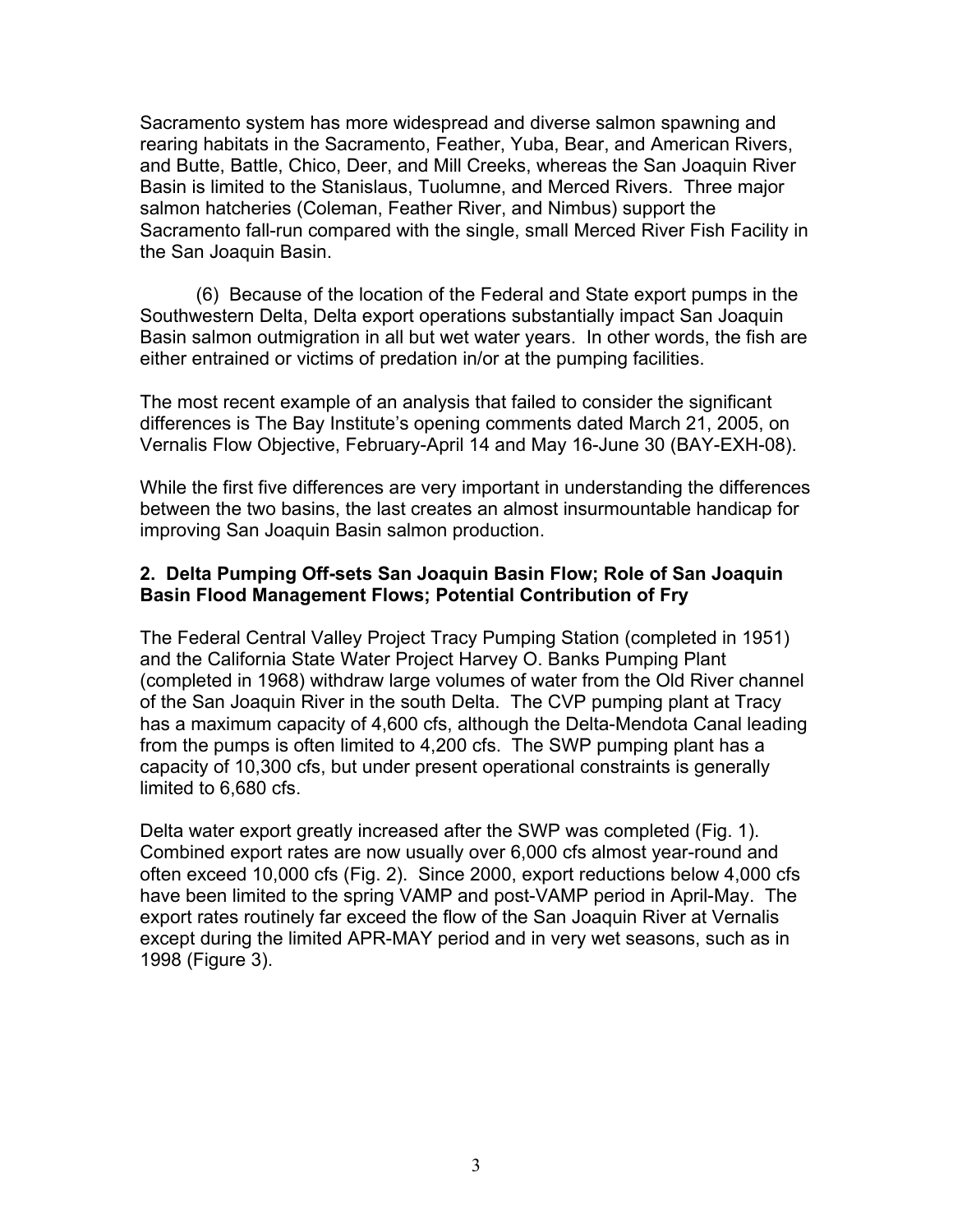Sacramento system has more widespread and diverse salmon spawning and rearing habitats in the Sacramento, Feather, Yuba, Bear, and American Rivers, and Butte, Battle, Chico, Deer, and Mill Creeks, whereas the San Joaquin River Basin is limited to the Stanislaus, Tuolumne, and Merced Rivers. Three major salmon hatcheries (Coleman, Feather River, and Nimbus) support the Sacramento fall-run compared with the single, small Merced River Fish Facility in the San Joaquin Basin.

(6) Because of the location of the Federal and State export pumps in the Southwestern Delta, Delta export operations substantially impact San Joaquin Basin salmon outmigration in all but wet water years. In other words, the fish are either entrained or victims of predation in/or at the pumping facilities.

The most recent example of an analysis that failed to consider the significant differences is The Bay Institute's opening comments dated March 21, 2005, on Vernalis Flow Objective, February-April 14 and May 16-June 30 (BAY-EXH-08).

While the first five differences are very important in understanding the differences between the two basins, the last creates an almost insurmountable handicap for improving San Joaquin Basin salmon production.

### 2. Delta Pumping Off-sets San Joaquin Basin Flow; Role of San Joaquin Basin Flood Management Flows; Potential Contribution of Fry

The Federal Central Valley Project Tracy Pumping Station (completed in 1951) and the California State Water Project Harvey O. Banks Pumping Plant (completed in 1968) withdraw large volumes of water from the Old River channel of the San Joaquin River in the south Delta. The CVP pumping plant at Tracy has a maximum capacity of 4,600 cfs, although the Delta-Mendota Canal leading from the pumps is often limited to 4,200 cfs. The SWP pumping plant has a capacity of 10,300 cfs, but under present operational constraints is generally limited to 6,680 cfs.

Delta water export greatly increased after the SWP was completed (Fig. 1). Combined export rates are now usually over 6,000 cfs almost year-round and often exceed 10,000 cfs (Fig. 2). Since 2000, export reductions below 4,000 cfs have been limited to the spring VAMP and post-VAMP period in April-May. The export rates routinely far exceed the flow of the San Joaquin River at Vernalis except during the limited APR-MAY period and in very wet seasons, such as in 1998 (Figure 3).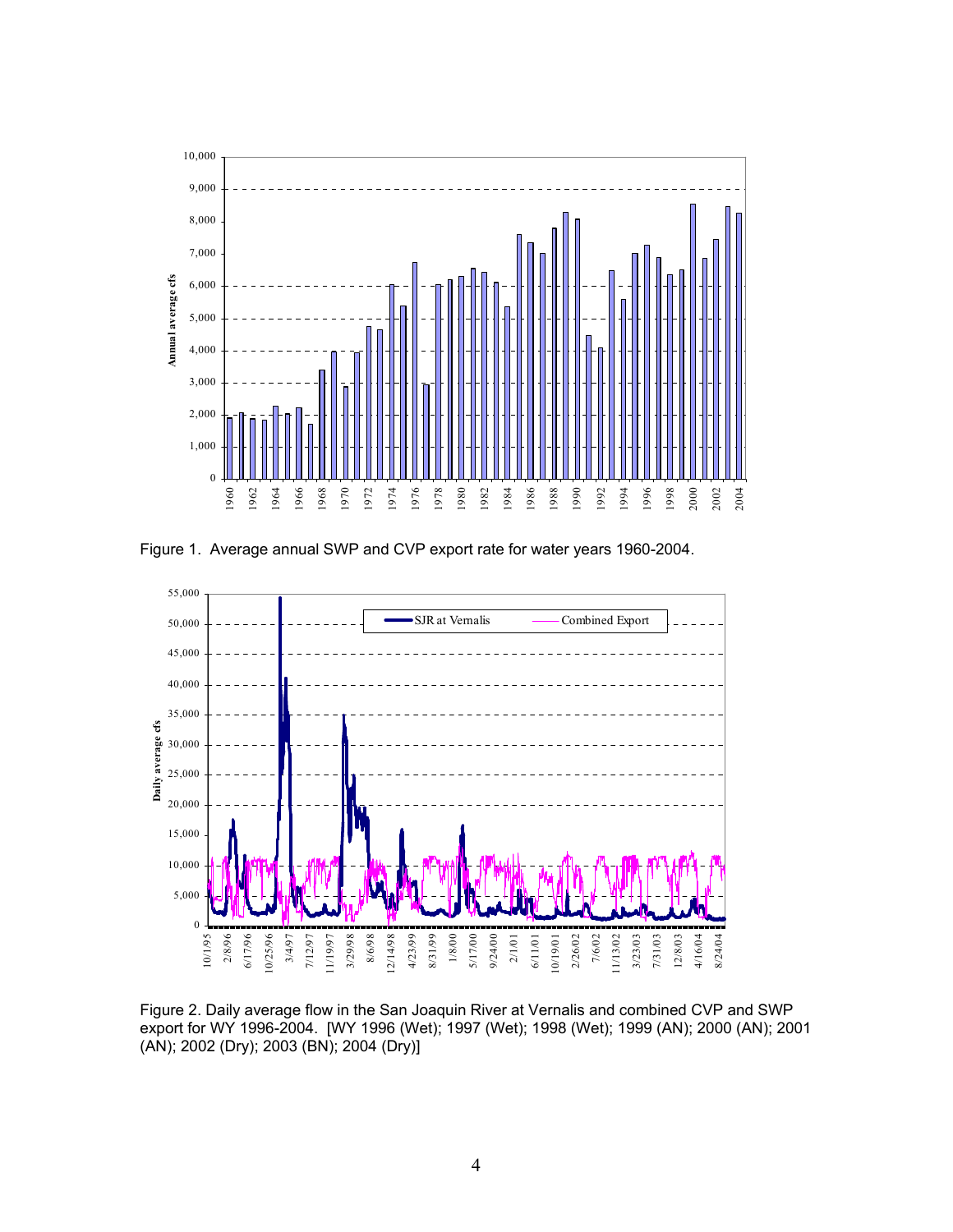

Figure 1. Average annual SWP and CVP export rate for water years 1960-2004.



Figure 2. Daily average flow in the San Joaquin River at Vernalis and combined CVP and SWP export for WY 1996-2004. [WY 1996 (Wet); 1997 (Wet); 1998 (Wet); 1999 (AN); 2000 (AN); 2001 (AN); 2002 (Dry); 2003 (BN); 2004 (Dry)]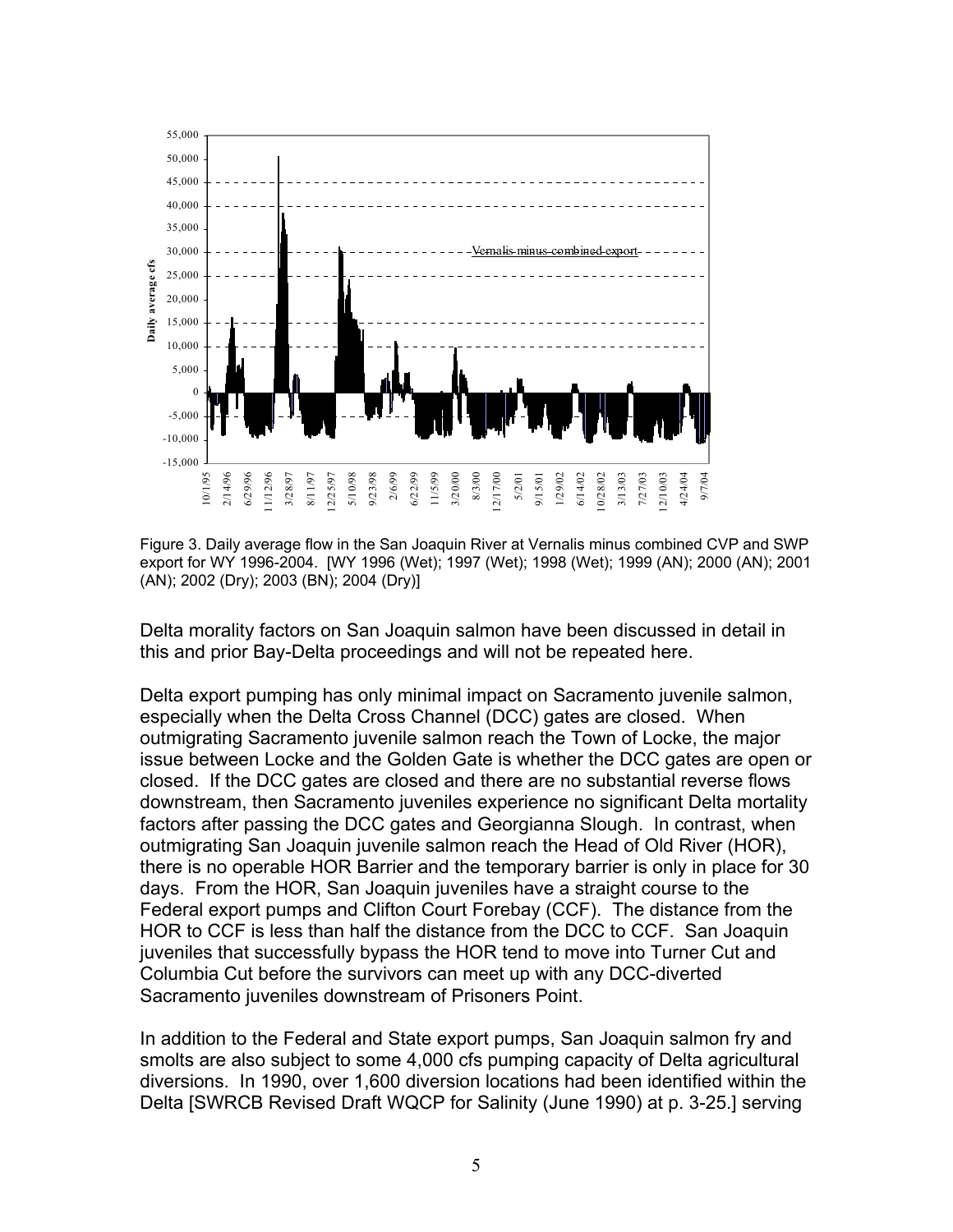

Figure 3. Daily average flow in the San Joaquin River at Vernalis minus combined CVP and SWP export for WY 1996-2004. [WY 1996 (Wet); 1997 (Wet); 1998 (Wet); 1999 (AN); 2000 (AN); 2001 (AN); 2002 (Dry); 2003 (BN); 2004 (Dry)]

Delta morality factors on San Joaquin salmon have been discussed in detail in this and prior Bay-Delta proceedings and will not be repeated here.

Delta export pumping has only minimal impact on Sacramento juvenile salmon, especially when the Delta Cross Channel (DCC) gates are closed. When outmigrating Sacramento juvenile salmon reach the Town of Locke, the major issue between Locke and the Golden Gate is whether the DCC gates are open or closed. If the DCC gates are closed and there are no substantial reverse flows downstream, then Sacramento juveniles experience no significant Delta mortality factors after passing the DCC gates and Georgianna Slough. In contrast, when outmigrating San Joaquin juvenile salmon reach the Head of Old River (HOR), there is no operable HOR Barrier and the temporary barrier is only in place for 30 days. From the HOR, San Joaquin juveniles have a straight course to the Federal export pumps and Clifton Court Forebay (CCF). The distance from the HOR to CCF is less than half the distance from the DCC to CCF. San Joaquin juveniles that successfully bypass the HOR tend to move into Turner Cut and Columbia Cut before the survivors can meet up with any DCC-diverted Sacramento juveniles downstream of Prisoners Point.

In addition to the Federal and State export pumps, San Joaquin salmon fry and smolts are also subject to some 4,000 cfs pumping capacity of Delta agricultural diversions. In 1990, over 1,600 diversion locations had been identified within the Delta [SWRCB Revised Draft WQCP for Salinity (June 1990) at p. 3-25.] serving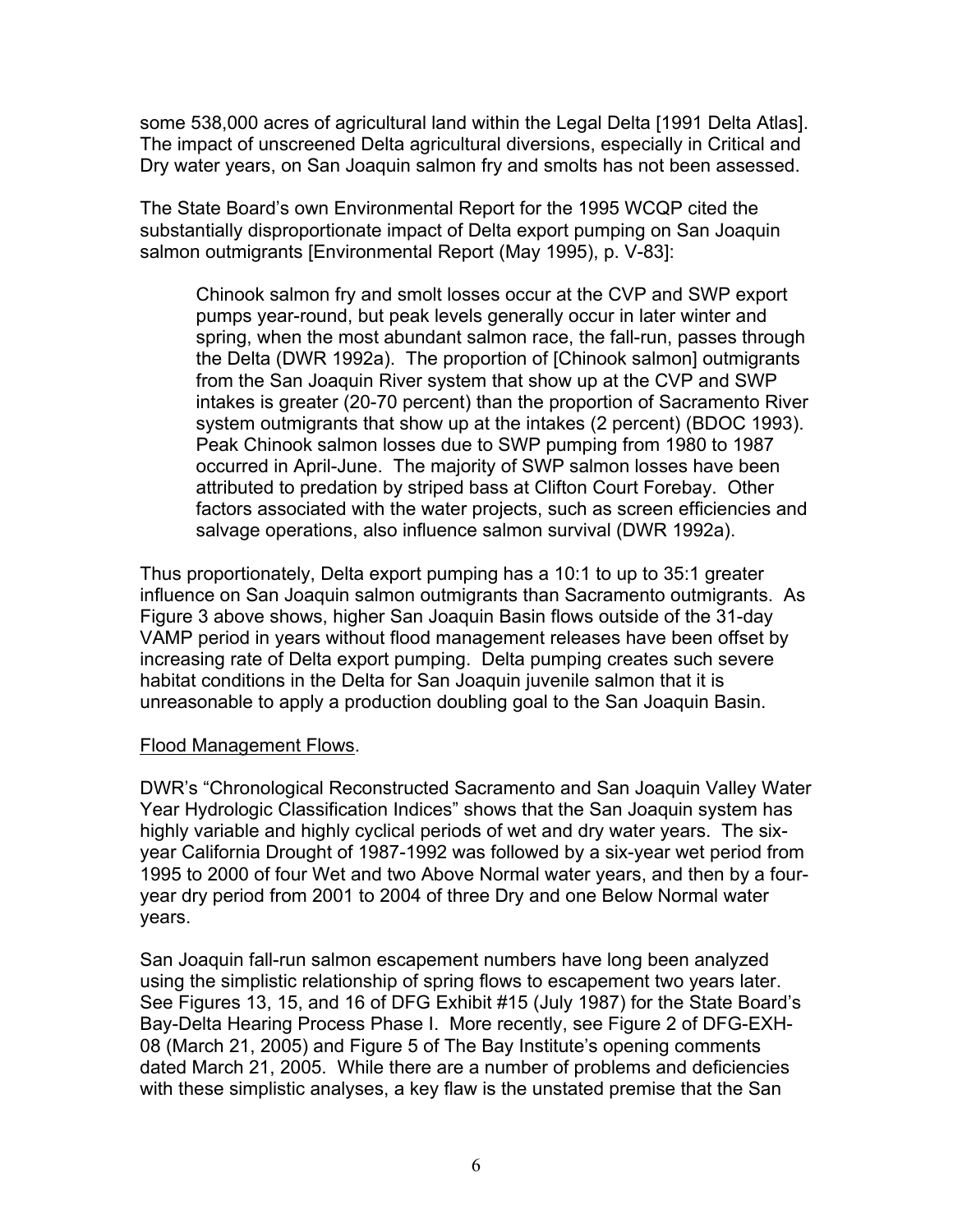some 538,000 acres of agricultural land within the Legal Delta [1991 Delta Atlas]. The impact of unscreened Delta agricultural diversions, especially in Critical and Dry water years, on San Joaquin salmon fry and smolts has not been assessed.

The State Board's own Environmental Report for the 1995 WCQP cited the substantially disproportionate impact of Delta export pumping on San Joaquin salmon outmigrants [Environmental Report (May 1995), p. V-83]:

Chinook salmon fry and smolt losses occur at the CVP and SWP export pumps year-round, but peak levels generally occur in later winter and spring, when the most abundant salmon race, the fall-run, passes through the Delta (DWR 1992a). The proportion of [Chinook salmon] outmigrants from the San Joaquin River system that show up at the CVP and SWP intakes is greater (20-70 percent) than the proportion of Sacramento River system outmigrants that show up at the intakes (2 percent) (BDOC 1993). Peak Chinook salmon losses due to SWP pumping from 1980 to 1987 occurred in April-June. The majority of SWP salmon losses have been attributed to predation by striped bass at Clifton Court Forebay. Other factors associated with the water projects, such as screen efficiencies and salvage operations, also influence salmon survival (DWR 1992a).

Thus proportionately, Delta export pumping has a 10:1 to up to 35:1 greater influence on San Joaquin salmon outmigrants than Sacramento outmigrants. As Figure 3 above shows, higher San Joaquin Basin flows outside of the 31-day VAMP period in years without flood management releases have been offset by increasing rate of Delta export pumping. Delta pumping creates such severe habitat conditions in the Delta for San Joaquin juvenile salmon that it is unreasonable to apply a production doubling goal to the San Joaquin Basin.

#### Flood Management Flows.

DWR's "Chronological Reconstructed Sacramento and San Joaquin Valley Water Year Hydrologic Classification Indices" shows that the San Joaquin system has highly variable and highly cyclical periods of wet and dry water years. The sixyear California Drought of 1987-1992 was followed by a six-year wet period from 1995 to 2000 of four Wet and two Above Normal water years, and then by a fouryear dry period from 2001 to 2004 of three Dry and one Below Normal water years.

San Joaquin fall-run salmon escapement numbers have long been analyzed using the simplistic relationship of spring flows to escapement two years later. See Figures 13, 15, and 16 of DFG Exhibit #15 (July 1987) for the State Board's Bay-Delta Hearing Process Phase I. More recently, see Figure 2 of DFG-EXH-08 (March 21, 2005) and Figure 5 of The Bay Institute's opening comments dated March 21, 2005. While there are a number of problems and deficiencies with these simplistic analyses, a key flaw is the unstated premise that the San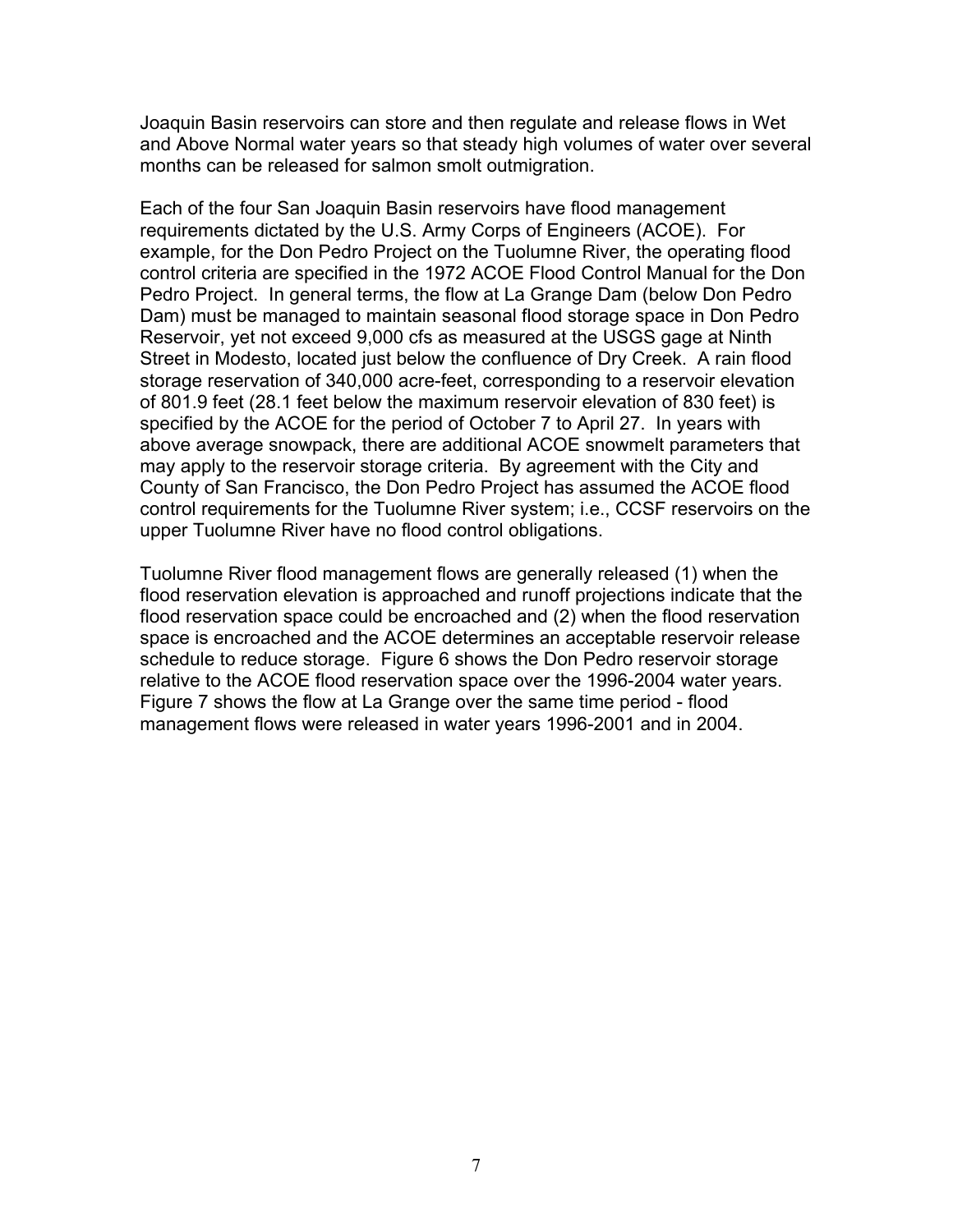Joaquin Basin reservoirs can store and then regulate and release flows in Wet and Above Normal water years so that steady high volumes of water over several months can be released for salmon smolt outmigration.

Each of the four San Joaquin Basin reservoirs have flood management requirements dictated by the U.S. Army Corps of Engineers (ACOE). For example, for the Don Pedro Project on the Tuolumne River, the operating flood control criteria are specified in the 1972 ACOE Flood Control Manual for the Don Pedro Project. In general terms, the flow at La Grange Dam (below Don Pedro Dam) must be managed to maintain seasonal flood storage space in Don Pedro Reservoir, yet not exceed 9,000 cfs as measured at the USGS gage at Ninth Street in Modesto, located just below the confluence of Dry Creek. A rain flood storage reservation of 340,000 acre-feet, corresponding to a reservoir elevation of 801.9 feet (28.1 feet below the maximum reservoir elevation of 830 feet) is specified by the ACOE for the period of October 7 to April 27. In years with above average snowpack, there are additional ACOE snowmelt parameters that may apply to the reservoir storage criteria. By agreement with the City and County of San Francisco, the Don Pedro Project has assumed the ACOE flood control requirements for the Tuolumne River system; i.e., CCSF reservoirs on the upper Tuolumne River have no flood control obligations.

Tuolumne River flood management flows are generally released (1) when the flood reservation elevation is approached and runoff projections indicate that the flood reservation space could be encroached and (2) when the flood reservation space is encroached and the ACOE determines an acceptable reservoir release schedule to reduce storage. Figure 6 shows the Don Pedro reservoir storage relative to the ACOE flood reservation space over the 1996-2004 water years. Figure 7 shows the flow at La Grange over the same time period - flood management flows were released in water years 1996-2001 and in 2004.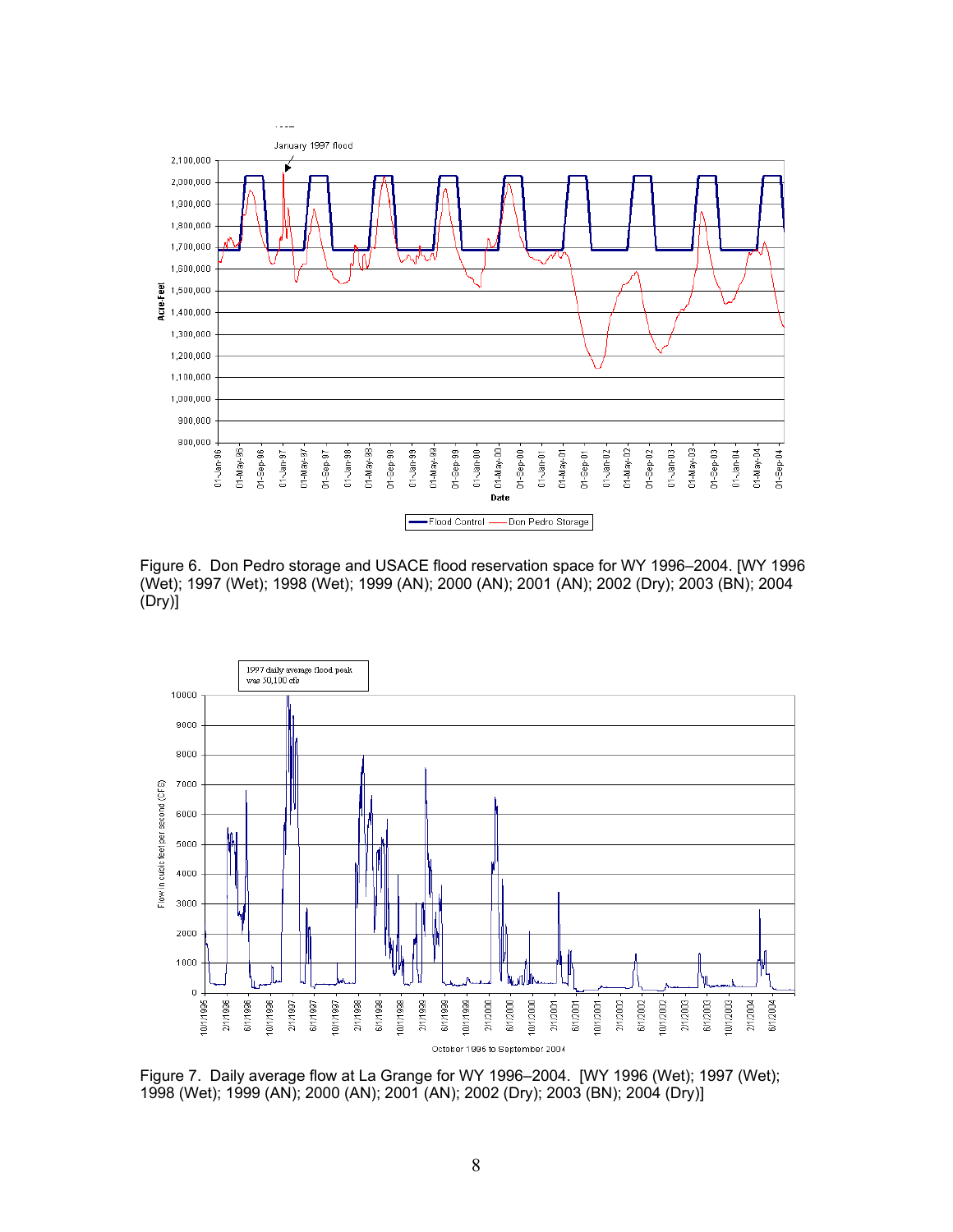

Figure 6. Don Pedro storage and USACE flood reservation space for WY 1996–2004. [WY 1996 (Wet); 1997 (Wet); 1998 (Wet); 1999 (AN); 2000 (AN); 2001 (AN); 2002 (Dry); 2003 (BN); 2004 (Dry)]



Figure 7. Daily average flow at La Grange for WY 1996–2004. [WY 1996 (Wet); 1997 (Wet); 1998 (Wet); 1999 (AN); 2000 (AN); 2001 (AN); 2002 (Dry); 2003 (BN); 2004 (Dry)]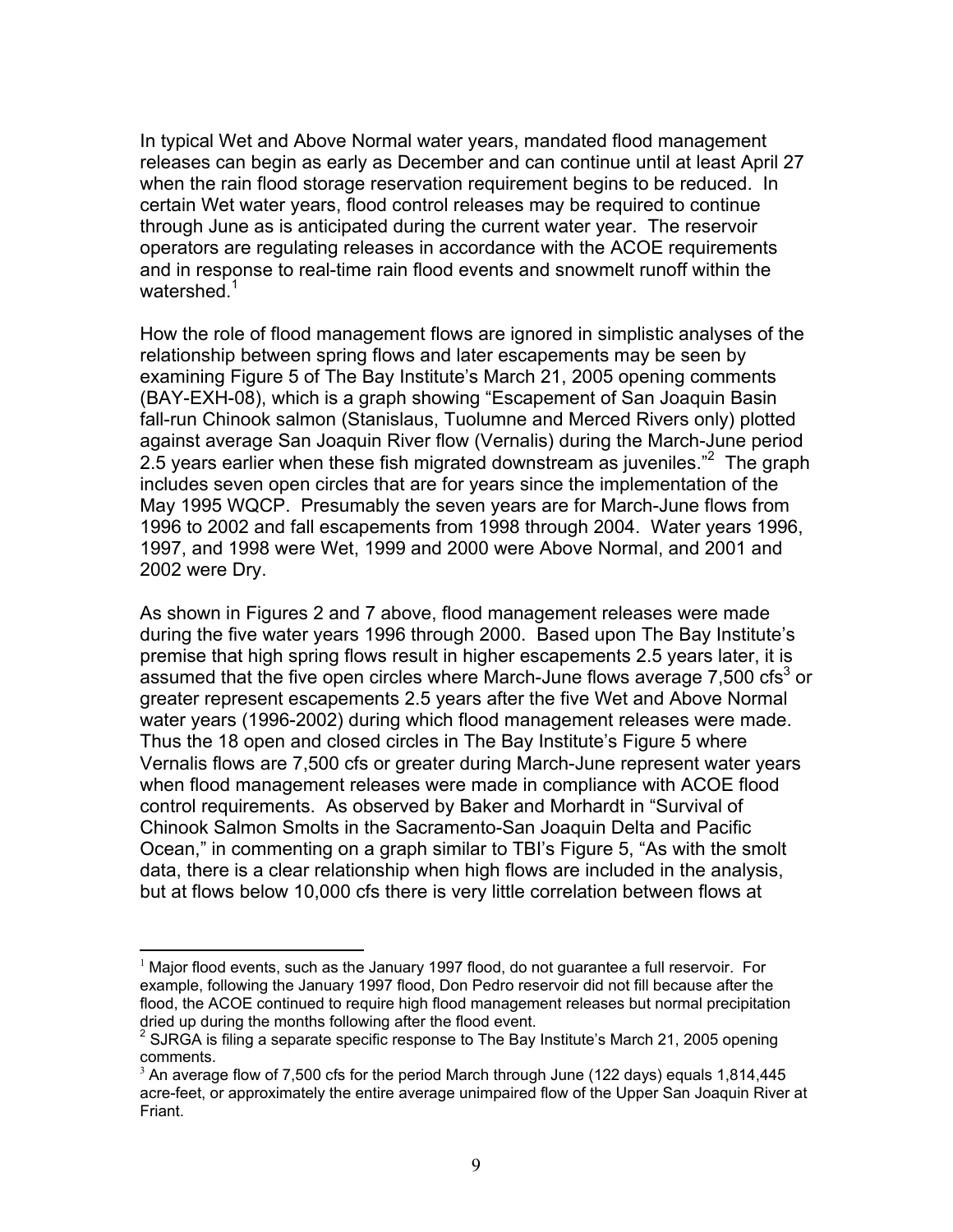In typical Wet and Above Normal water years, mandated flood management releases can begin as early as December and can continue until at least April 27 when the rain flood storage reservation requirement begins to be reduced. In certain Wet water years, flood control releases may be required to continue through June as is anticipated during the current water year. The reservoir operators are regulating releases in accordance with the ACOE requirements and in response to real-time rain flood events and snowmelt runoff within the watershed.<sup>1</sup>

How the role of flood management flows are ignored in simplistic analyses of the relationship between spring flows and later escapements may be seen by examining Figure 5 of The Bay Institute's March 21, 2005 opening comments (BAY-EXH-08), which is a graph showing "Escapement of San Joaquin Basin fall-run Chinook salmon (Stanislaus, Tuolumne and Merced Rivers only) plotted against average San Joaquin River flow (Vernalis) during the March-June period 2.5 years earlier when these fish migrated downstream as juveniles."<sup>2</sup> The graph includes seven open circles that are for years since the implementation of the May 1995 WQCP. Presumably the seven years are for March-June flows from 1996 to 2002 and fall escapements from 1998 through 2004. Water years 1996, 1997, and 1998 were Wet, 1999 and 2000 were Above Normal, and 2001 and 2002 were Dry.

As shown in Figures 2 and 7 above, flood management releases were made during the five water years 1996 through 2000. Based upon The Bay Institute's premise that high spring flows result in higher escapements 2.5 years later, it is assumed that the five open circles where March-June flows average 7,500 cfs<sup>3</sup> or greater represent escapements 2.5 years after the five Wet and Above Normal water years (1996-2002) during which flood management releases were made. Thus the 18 open and closed circles in The Bay Institute's Figure 5 where Vernalis flows are 7,500 cfs or greater during March-June represent water years when flood management releases were made in compliance with ACOE flood control requirements. As observed by Baker and Morhardt in "Survival of Chinook Salmon Smolts in the Sacramento-San Joaquin Delta and Pacific Ocean," in commenting on a graph similar to TBI's Figure 5, "As with the smolt data, there is a clear relationship when high flows are included in the analysis, but at flows below 10,000 cfs there is very little correlation between flows at

 $\overline{a}$  $<sup>1</sup>$  Major flood events, such as the January 1997 flood, do not guarantee a full reservoir. For</sup> example, following the January 1997 flood, Don Pedro reservoir did not fill because after the flood, the ACOE continued to require high flood management releases but normal precipitation dried up during the months following after the flood event.

 $2$  SJRGA is filing a separate specific response to The Bay Institute's March 21, 2005 opening comments.

 $3$  An average flow of 7,500 cfs for the period March through June (122 days) equals 1,814,445 acre-feet, or approximately the entire average unimpaired flow of the Upper San Joaquin River at Friant.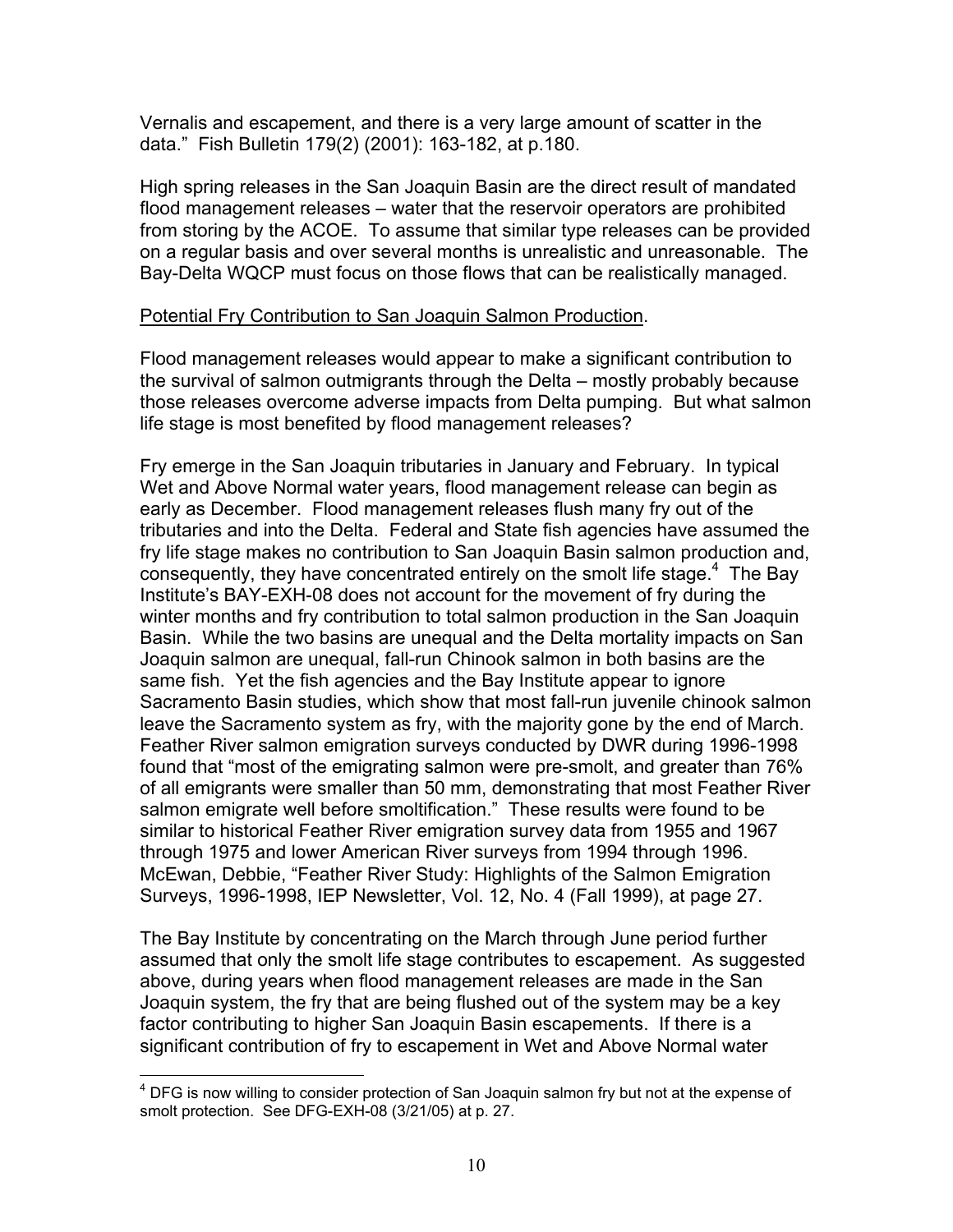Vernalis and escapement, and there is a very large amount of scatter in the data." Fish Bulletin 179(2) (2001): 163-182, at p.180.

High spring releases in the San Joaquin Basin are the direct result of mandated flood management releases – water that the reservoir operators are prohibited from storing by the ACOE. To assume that similar type releases can be provided on a regular basis and over several months is unrealistic and unreasonable. The Bay-Delta WQCP must focus on those flows that can be realistically managed.

## Potential Fry Contribution to San Joaquin Salmon Production.

Flood management releases would appear to make a significant contribution to the survival of salmon outmigrants through the Delta – mostly probably because those releases overcome adverse impacts from Delta pumping. But what salmon life stage is most benefited by flood management releases?

Fry emerge in the San Joaquin tributaries in January and February. In typical Wet and Above Normal water years, flood management release can begin as early as December. Flood management releases flush many fry out of the tributaries and into the Delta. Federal and State fish agencies have assumed the fry life stage makes no contribution to San Joaquin Basin salmon production and, consequently, they have concentrated entirely on the smolt life stage.<sup>4</sup> The Bay Institute's BAY-EXH-08 does not account for the movement of fry during the winter months and fry contribution to total salmon production in the San Joaquin Basin. While the two basins are unequal and the Delta mortality impacts on San Joaquin salmon are unequal, fall-run Chinook salmon in both basins are the same fish. Yet the fish agencies and the Bay Institute appear to ignore Sacramento Basin studies, which show that most fall-run juvenile chinook salmon leave the Sacramento system as fry, with the majority gone by the end of March. Feather River salmon emigration surveys conducted by DWR during 1996-1998 found that "most of the emigrating salmon were pre-smolt, and greater than 76% of all emigrants were smaller than 50 mm, demonstrating that most Feather River salmon emigrate well before smoltification." These results were found to be similar to historical Feather River emigration survey data from 1955 and 1967 through 1975 and lower American River surveys from 1994 through 1996. McEwan, Debbie, "Feather River Study: Highlights of the Salmon Emigration Surveys, 1996-1998, IEP Newsletter, Vol. 12, No. 4 (Fall 1999), at page 27.

The Bay Institute by concentrating on the March through June period further assumed that only the smolt life stage contributes to escapement. As suggested above, during years when flood management releases are made in the San Joaquin system, the fry that are being flushed out of the system may be a key factor contributing to higher San Joaquin Basin escapements. If there is a significant contribution of fry to escapement in Wet and Above Normal water

<sup>————————————————————&</sup>lt;br><sup>4</sup> DFG is now willing to consider protection of San Joaquin salmon fry but not at the expense of smolt protection. See DFG-EXH-08 (3/21/05) at p. 27.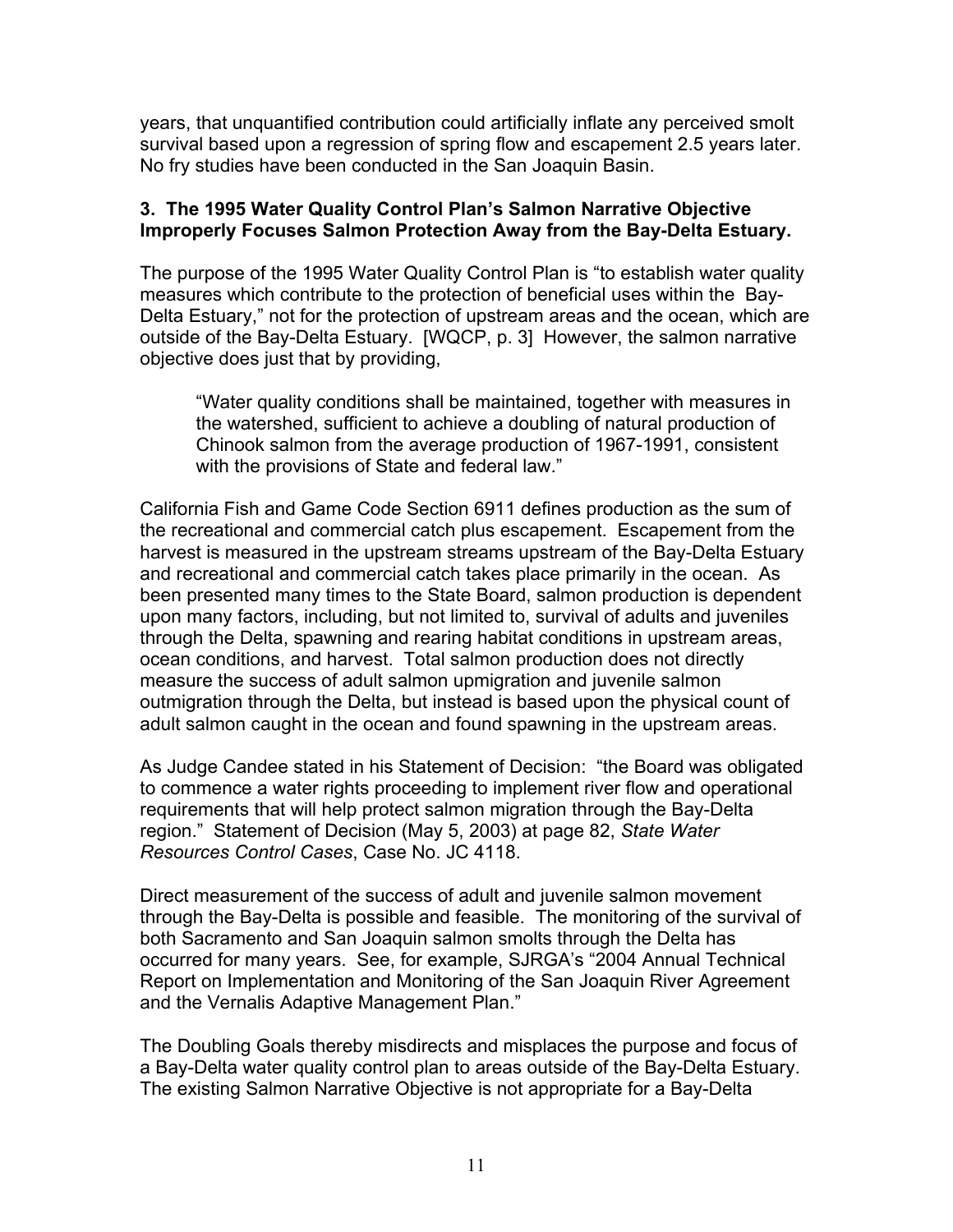years, that unquantified contribution could artificially inflate any perceived smolt survival based upon a regression of spring flow and escapement 2.5 years later. No fry studies have been conducted in the San Joaquin Basin.

#### 3. The 1995 Water Quality Control Plan's Salmon Narrative Objective Improperly Focuses Salmon Protection Away from the Bay-Delta Estuary.

The purpose of the 1995 Water Quality Control Plan is "to establish water quality measures which contribute to the protection of beneficial uses within the Bay-Delta Estuary," not for the protection of upstream areas and the ocean, which are outside of the Bay-Delta Estuary. [WQCP, p. 3] However, the salmon narrative objective does just that by providing,

"Water quality conditions shall be maintained, together with measures in the watershed, sufficient to achieve a doubling of natural production of Chinook salmon from the average production of 1967-1991, consistent with the provisions of State and federal law."

California Fish and Game Code Section 6911 defines production as the sum of the recreational and commercial catch plus escapement. Escapement from the harvest is measured in the upstream streams upstream of the Bay-Delta Estuary and recreational and commercial catch takes place primarily in the ocean. As been presented many times to the State Board, salmon production is dependent upon many factors, including, but not limited to, survival of adults and juveniles through the Delta, spawning and rearing habitat conditions in upstream areas, ocean conditions, and harvest. Total salmon production does not directly measure the success of adult salmon upmigration and juvenile salmon outmigration through the Delta, but instead is based upon the physical count of adult salmon caught in the ocean and found spawning in the upstream areas.

As Judge Candee stated in his Statement of Decision: "the Board was obligated to commence a water rights proceeding to implement river flow and operational requirements that will help protect salmon migration through the Bay-Delta region." Statement of Decision (May 5, 2003) at page 82, State Water Resources Control Cases, Case No. JC 4118.

Direct measurement of the success of adult and juvenile salmon movement through the Bay-Delta is possible and feasible. The monitoring of the survival of both Sacramento and San Joaquin salmon smolts through the Delta has occurred for many years. See, for example, SJRGA's "2004 Annual Technical Report on Implementation and Monitoring of the San Joaquin River Agreement and the Vernalis Adaptive Management Plan."

The Doubling Goals thereby misdirects and misplaces the purpose and focus of a Bay-Delta water quality control plan to areas outside of the Bay-Delta Estuary. The existing Salmon Narrative Objective is not appropriate for a Bay-Delta